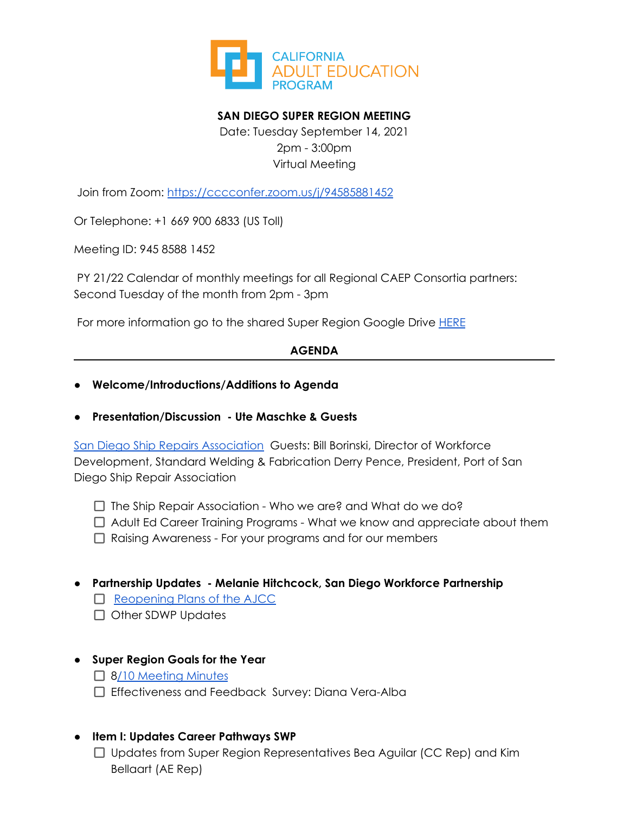

# **SAN DIEGO SUPER REGION MEETING**

Date: Tuesday September 14, 2021 2pm - 3:00pm Virtual Meeting

Join from Zoom: <https://cccconfer.zoom.us/j/94585881452>

Or Telephone: +1 669 900 6833 (US Toll)

Meeting ID: 945 8588 1452

PY 21/22 Calendar of monthly meetings for all Regional CAEP Consortia partners: Second Tuesday of the month from 2pm - 3pm

For more information go to the shared Super Region Google Drive [HERE](https://drive.google.com/drive/folders/1ecyNAJ-ze7fPFNC3dOThh3mLvyPohte1)

### **AGENDA**

- **● Welcome/Introductions/Additions to Agenda**
- **● Presentation/Discussion - Ute Maschke & Guests**

San Diego Ship Repairs [Association](https://urldefense.com/v3/__https:/sandiegoshiprepair.com/__;!!NQI0YCo!_zirKBOo1FFH9R5haZ7HzvOJIMM74NthZGa9QoUo-gYKM89mQzkMV_twjFeoCYFf0Q$) Guests: Bill Borinski, Director of Workforce Development, Standard Welding & Fabrication Derry Pence, President, Port of San Diego Ship Repair Association

- $\Box$  The Ship Repair Association Who we are? and What do we do?
- $\Box$  Adult Ed Career Training Programs What we know and appreciate about them
- □ Raising Awareness For your programs and for our members
- **● Partnership Updates - Melanie Hitchcock, San Diego Workforce Partnership**
	- $\Box$  [Reopening](https://urldefense.com/v3/__https:/workforce.org/news/san-diego-workforce-partnership-reopens-in-person-career-centers-to-help-san-diegans-secure-quality-jobs-amid-covid-19-recovery/__;!!NQI0YCo!4AF3XmgJJaGu8VjdhLJsz7RSVg2BXWjO5LaGws3qlvD9-KrziCIfqblb6Kx2KgofVQ$) Plans of the AJCC
	- $\Box$  Other SDWP Updates

# **● Super Region Goals for the Year**

- □ 8/10 [Meeting](https://docs.google.com/document/d/19KPs5JyLV8n0uOq_l4SG9aUokLQ4vHPt/edit?usp=sharing&ouid=103017308825430690061&rtpof=true&sd=true) Minutes
- □ Effectiveness and Feedback Survey: Diana Vera-Alba

### **● Item I: Updates Career Pathways SWP**

 $\Box$  Updates from Super Region Representatives Bea Aguilar (CC Rep) and Kim Bellaart (AE Rep)